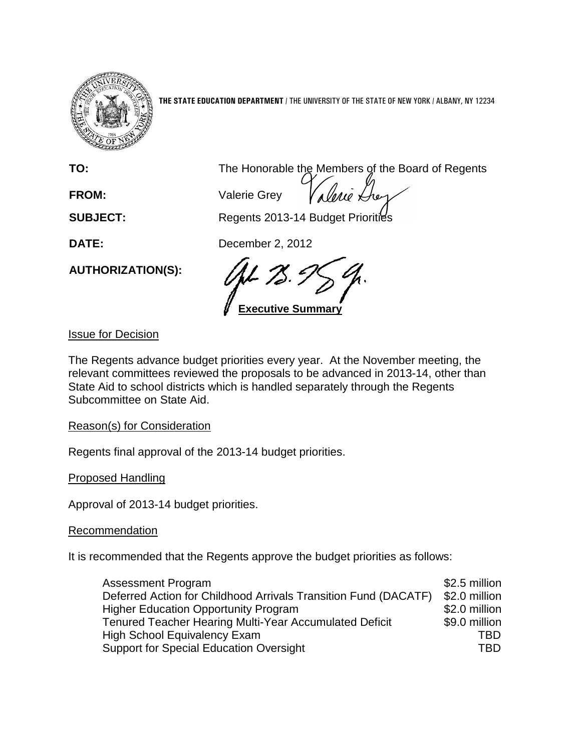

**THE STATE EDUCATION DEPARTMENT** / THE UNIVERSITY OF THE STATE OF NEW YORK / ALBANY, NY 12234

**FROM:** Valerie Grey

**TO:** The Honorable the Members of the Board of Regents

**SUBJECT:** Regents 2013-14 Budget Priorities

**DATE:** December 2, 2012

**Executive Summary**

Issue for Decision

**AUTHORIZATION(S):**

The Regents advance budget priorities every year. At the November meeting, the relevant committees reviewed the proposals to be advanced in 2013-14, other than State Aid to school districts which is handled separately through the Regents Subcommittee on State Aid.

Reason(s) for Consideration

Regents final approval of the 2013-14 budget priorities.

Proposed Handling

Approval of 2013-14 budget priorities.

Recommendation

It is recommended that the Regents approve the budget priorities as follows:

| <b>Assessment Program</b>                                       | \$2.5 million |
|-----------------------------------------------------------------|---------------|
| Deferred Action for Childhood Arrivals Transition Fund (DACATF) | \$2.0 million |
| <b>Higher Education Opportunity Program</b>                     | \$2.0 million |
| Tenured Teacher Hearing Multi-Year Accumulated Deficit          | \$9.0 million |
| High School Equivalency Exam                                    | TRD           |
| <b>Support for Special Education Oversight</b>                  | TBD           |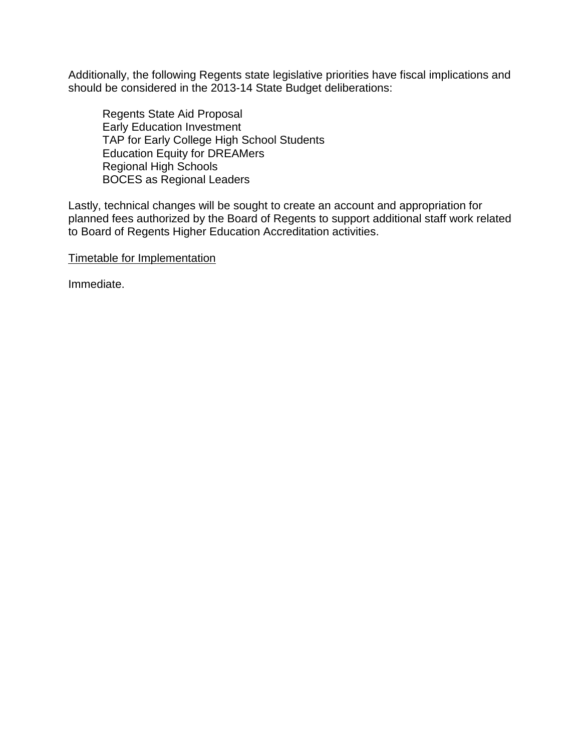Additionally, the following Regents state legislative priorities have fiscal implications and should be considered in the 2013-14 State Budget deliberations:

Regents State Aid Proposal Early Education Investment TAP for Early College High School Students Education Equity for DREAMers Regional High Schools BOCES as Regional Leaders

Lastly, technical changes will be sought to create an account and appropriation for planned fees authorized by the Board of Regents to support additional staff work related to Board of Regents Higher Education Accreditation activities.

Timetable for Implementation

Immediate.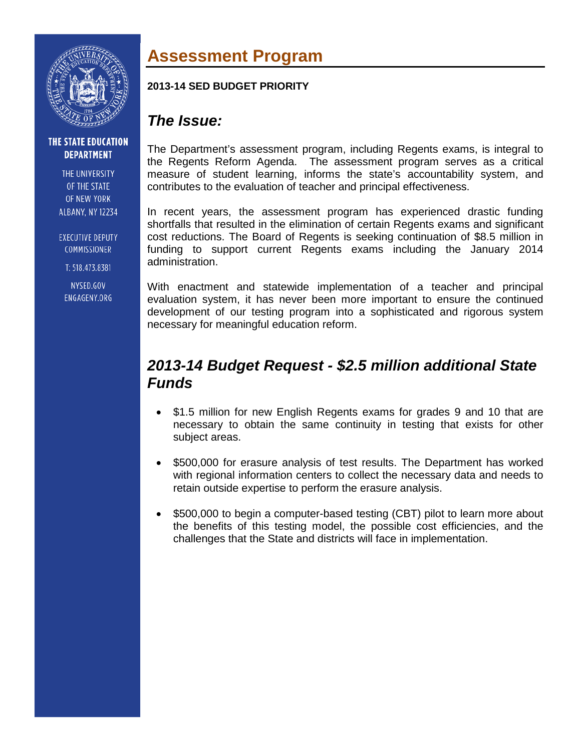

THE UNIVERSITY OF THE STATE OF NEW YORK **ALBANY, NY 12234** 

**EXECUTIVE DEPUTY** COMMISSIONER

T: 518.473.8381

NYSED.GOV ENGAGENY.ORG

# **Assessment Program**

### **2013-14 SED BUDGET PRIORITY**

## *The Issue:*

The Department's assessment program, including Regents exams, is integral to the Regents Reform Agenda. The assessment program serves as a critical measure of student learning, informs the state's accountability system, and contributes to the evaluation of teacher and principal effectiveness.

In recent years, the assessment program has experienced drastic funding shortfalls that resulted in the elimination of certain Regents exams and significant cost reductions. The Board of Regents is seeking continuation of \$8.5 million in funding to support current Regents exams including the January 2014 administration.

With enactment and statewide implementation of a teacher and principal evaluation system, it has never been more important to ensure the continued development of our testing program into a sophisticated and rigorous system necessary for meaningful education reform.

## *2013-14 Budget Request - \$2.5 million additional State Funds*

- \$1.5 million for new English Regents exams for grades 9 and 10 that are necessary to obtain the same continuity in testing that exists for other subject areas.
- \$500,000 for erasure analysis of test results. The Department has worked with regional information centers to collect the necessary data and needs to retain outside expertise to perform the erasure analysis.
- \$500,000 to begin a computer-based testing (CBT) pilot to learn more about the benefits of this testing model, the possible cost efficiencies, and the challenges that the State and districts will face in implementation.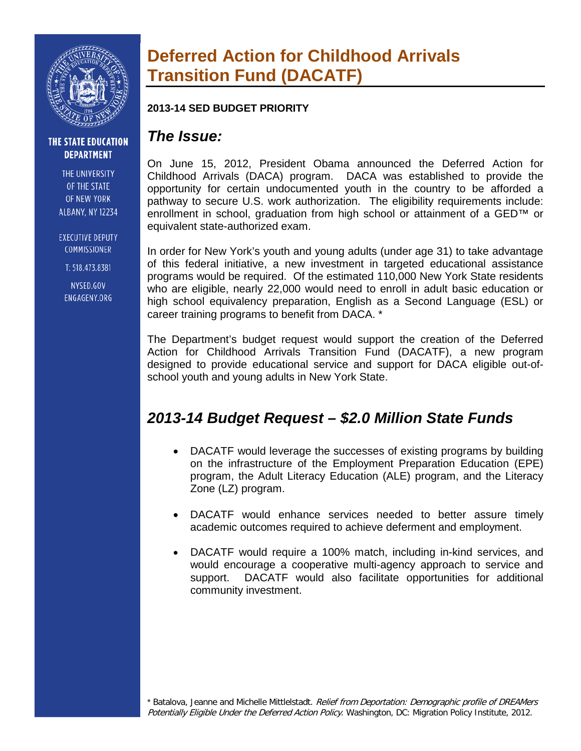

THE UNIVERSITY OF THE STATE OF NEW YORK **ALBANY, NY 12234** 

**EXECUTIVE DEPUTY** COMMISSIONER

T: 518.473.8381

NYSED.GOV ENGAGENY.ORG

# **Deferred Action for Childhood Arrivals Transition Fund (DACATF)**

### **2013-14 SED BUDGET PRIORITY**

## *The Issue:*

On June 15, 2012, President Obama announced the Deferred Action for Childhood Arrivals (DACA) program. DACA was established to provide the opportunity for certain undocumented youth in the country to be afforded a pathway to secure U.S. work authorization. The eligibility requirements include: enrollment in school, graduation from high school or attainment of a GED™ or equivalent state-authorized exam.

In order for New York's youth and young adults (under age 31) to take advantage of this federal initiative, a new investment in targeted educational assistance programs would be required. Of the estimated 110,000 New York State residents who are eligible, nearly 22,000 would need to enroll in adult basic education or high school equivalency preparation, English as a Second Language (ESL) or career training programs to benefit from DACA. \*

The Department's budget request would support the creation of the Deferred Action for Childhood Arrivals Transition Fund (DACATF), a new program designed to provide educational service and support for DACA eligible out-ofschool youth and young adults in New York State.

## *2013-14 Budget Request – \$2.0 Million State Funds*

- DACATF would leverage the successes of existing programs by building on the infrastructure of the Employment Preparation Education (EPE) program, the Adult Literacy Education (ALE) program, and the Literacy Zone (LZ) program.
- DACATF would enhance services needed to better assure timely academic outcomes required to achieve deferment and employment.
- DACATF would require a 100% match, including in-kind services, and would encourage a cooperative multi-agency approach to service and support. DACATF would also facilitate opportunities for additional community investment.

\* Batalova, Jeanne and Michelle Mittlelstadt. Relief from Deportation: Demographic profile of DREAMers Potentially Eligible Under the Deferred Action Policy. Washington, DC: Migration Policy Institute, 2012.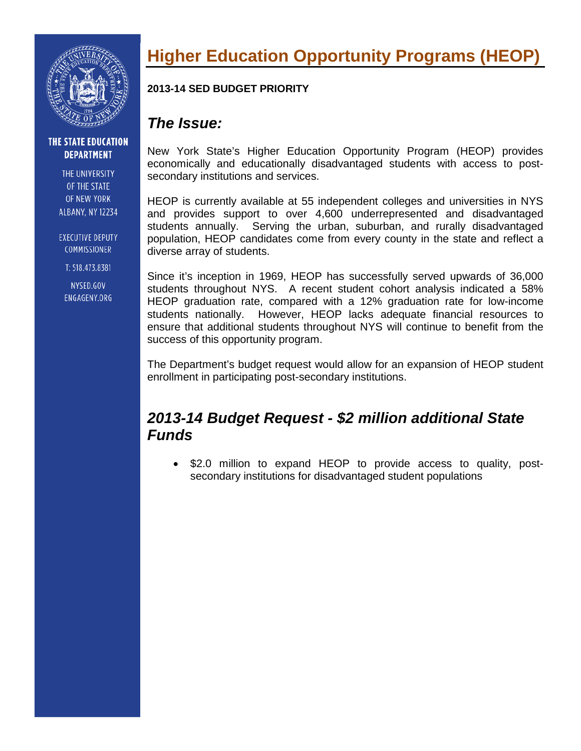

THE UNIVERSITY OF THE STATE OF NEW YORK **ALBANY, NY 12234** 

**EXECUTIVE DEPUTY** COMMISSIONER

T: 518.473.8381

NYSED.GOV ENGAGENY.ORG

# **Higher Education Opportunity Programs (HEOP)**

### **2013-14 SED BUDGET PRIORITY**

## *The Issue:*

New York State's Higher Education Opportunity Program (HEOP) provides economically and educationally disadvantaged students with access to postsecondary institutions and services.

HEOP is currently available at 55 independent colleges and universities in NYS and provides support to over 4,600 underrepresented and disadvantaged students annually. Serving the urban, suburban, and rurally disadvantaged population, HEOP candidates come from every county in the state and reflect a diverse array of students.

Since it's inception in 1969, HEOP has successfully served upwards of 36,000 students throughout NYS. A recent student cohort analysis indicated a 58% HEOP graduation rate, compared with a 12% graduation rate for low-income students nationally. However, HEOP lacks adequate financial resources to ensure that additional students throughout NYS will continue to benefit from the success of this opportunity program.

The Department's budget request would allow for an expansion of HEOP student enrollment in participating post-secondary institutions.

## *2013-14 Budget Request - \$2 million additional State Funds*

• \$2.0 million to expand HEOP to provide access to quality, postsecondary institutions for disadvantaged student populations